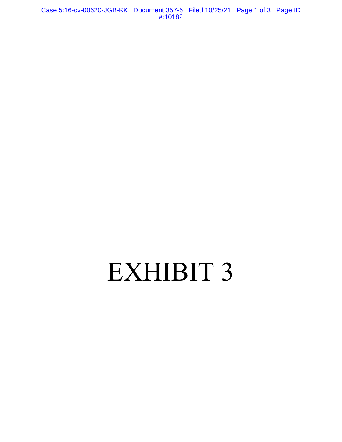Case 5:16-cv-00620-JGB-KK Document 357-6 Filed 10/25/21 Page 1 of 3 Page ID #:10182

## EXHIBIT 3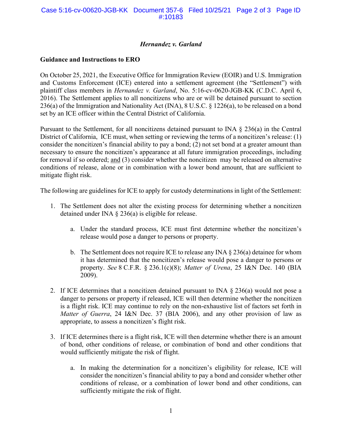## *Hernandez v. Garland*

## **Guidance and Instructions to ERO**

On October 25, 2021, the Executive Office for Immigration Review (EOIR) and U.S. Immigration and Customs Enforcement (ICE) entered into a settlement agreement (the "Settlement") with plaintiff class members in *Hernandez v. Garland*, No. 5:16-cv-0620-JGB-KK (C.D.C. April 6, 2016). The Settlement applies to all noncitizens who are or will be detained pursuant to section 236(a) of the Immigration and Nationality Act (INA), 8 U.S.C. § 1226(a), to be released on a bond set by an ICE officer within the Central District of California.

Pursuant to the Settlement, for all noncitizens detained pursuant to INA § 236(a) in the Central District of California, ICE must, when setting or reviewing the terms of a noncitizen's release: (1) consider the noncitizen's financial ability to pay a bond; (2) not set bond at a greater amount than necessary to ensure the noncitizen's appearance at all future immigration proceedings, including for removal if so ordered; and (3) consider whether the noncitizen may be released on alternative conditions of release, alone or in combination with a lower bond amount, that are sufficient to mitigate flight risk.

The following are guidelines for ICE to apply for custody determinations in light of the Settlement:

- 1. The Settlement does not alter the existing process for determining whether a noncitizen detained under INA  $\S$  236(a) is eligible for release.
	- a. Under the standard process, ICE must first determine whether the noncitizen's release would pose a danger to persons or property.
	- b. The Settlement does not require ICE to release any INA  $\S 236(a)$  detainee for whom it has determined that the noncitizen's release would pose a danger to persons or property. *See* 8 C.F.R. § 236.1(c)(8); *Matter of Urena*, 25 I&N Dec. 140 (BIA 2009).
- 2. If ICE determines that a noncitizen detained pursuant to INA  $\S 236(a)$  would not pose a danger to persons or property if released, ICE will then determine whether the noncitizen is a flight risk. ICE may continue to rely on the non-exhaustive list of factors set forth in *Matter of Guerra*, 24 I&N Dec. 37 (BIA 2006), and any other provision of law as appropriate, to assess a noncitizen's flight risk.
- 3. If ICE determines there is a flight risk, ICE will then determine whether there is an amount of bond, other conditions of release, or combination of bond and other conditions that would sufficiently mitigate the risk of flight.
	- a. In making the determination for a noncitizen's eligibility for release, ICE will consider the noncitizen's financial ability to pay a bond and consider whether other conditions of release, or a combination of lower bond and other conditions, can sufficiently mitigate the risk of flight.